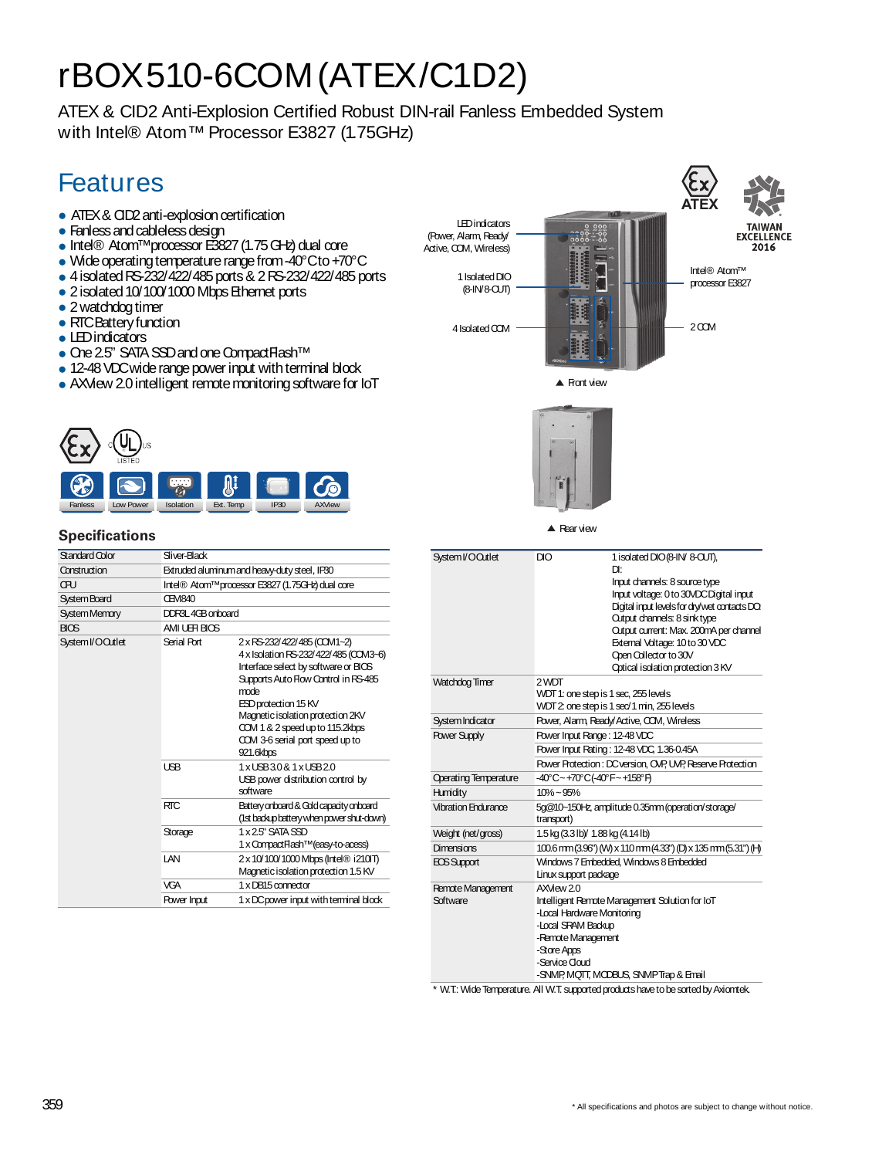## rBOX510-6COM(ATEX/C1D2)

ATEX & CID2 Anti-Explosion Certified Robust DIN-rail Fanless Embedded System with Intel® Atom™ Processor E3827 (1.75GHz)

## Features

- ATEX & CID2 anti-explosion certification
- Fanless and cableless design
- Intel® Atom™processor E3827(1.75GHz)dual core
- Wide operating temperature range from -40°Cto +70°C
- 4isolatedRS-232/422/485ports& 2RS-232/422/485ports
- 2 isolated 10/100/1000 Mbps Ethernet ports
- 2 watchdog timer
- RTCBattery function
- LEDindicators
- One 2.5" SATA SSD and one Compact Flash<sup>TM</sup>
- 12-48 VDC wide range power input with terminal block
- AXView 2.0 intelligent remote monitoring software for IoT





![](_page_0_Picture_17.jpeg)

▲ Rear view

| Specifications |  |
|----------------|--|
|----------------|--|

| Standard Color       | Sliver-Black  |                                                                                                                                                                                                                                                                                                              |  |
|----------------------|---------------|--------------------------------------------------------------------------------------------------------------------------------------------------------------------------------------------------------------------------------------------------------------------------------------------------------------|--|
| Construction         |               | Extruded aluminum and heavy-duty steel, IP30                                                                                                                                                                                                                                                                 |  |
| œu                   |               | Intel® Atom™processor E3827 (1.75GHz) dual core                                                                                                                                                                                                                                                              |  |
| <b>System Board</b>  | <b>CEM840</b> |                                                                                                                                                                                                                                                                                                              |  |
| <b>System Memory</b> |               | DDR3L4GB onboard                                                                                                                                                                                                                                                                                             |  |
| <b>BIOS</b>          | AMI UEH BIOS  |                                                                                                                                                                                                                                                                                                              |  |
| System I/O Outlet    | Serial Port   | 2 x RS-232/422/485 (COM1~2)<br>4 x Isolation RS-232/422/485 (COM3-6)<br>Interface select by software or BICS<br>Supports Auto Flow Control in RS-485<br>mode<br>ESD protection 15 KV<br>Magnetic isolation protection 2KV<br>CCM 1 & 2 speed up to 115.2kbps<br>COM 3-6 serial port speed up to<br>921.6kbps |  |
|                      | <b>LISB</b>   | 1xLISB30&1xLISB20<br>USB power distribution control by<br>software                                                                                                                                                                                                                                           |  |
|                      | <b>RTC</b>    | Battery onboard & Gold capacity onboard<br>(1st backup battery when power shut-down)                                                                                                                                                                                                                         |  |
|                      | Storage       | 1 x 2.5" SATA SSD<br>1 x Compact Flash <sup>™</sup> (easy-to-acess)                                                                                                                                                                                                                                          |  |
|                      | I AN          | 2 x 10/100/1000 Mbps (Intel® i210IT)<br>Magnetic isolation protection 1.5 KV                                                                                                                                                                                                                                 |  |
|                      | <b>VGA</b>    | 1 x DB15 connector                                                                                                                                                                                                                                                                                           |  |
|                      | Power Input   | 1 x DC power input with terminal block                                                                                                                                                                                                                                                                       |  |
|                      |               |                                                                                                                                                                                                                                                                                                              |  |

| System I/OQutlet             | DIO                                                             | 1 isolated DIO (8-IN/8-CUT),                                   |
|------------------------------|-----------------------------------------------------------------|----------------------------------------------------------------|
|                              |                                                                 | Dŀ                                                             |
|                              |                                                                 | Input channels: 8 source type                                  |
|                              |                                                                 | Input voltage: 0 to 30VDCDigital input                         |
|                              |                                                                 | Digital input levels for dry/wet contacts DO.                  |
|                              |                                                                 | Output channels: 8 sink type                                   |
|                              |                                                                 | Output current: Max. 200mA per channel                         |
|                              |                                                                 | External Voltage: 10 to 30 VDC                                 |
|                              |                                                                 | Open Collector to 30V                                          |
|                              |                                                                 | Optical isolation protection 3 KV                              |
| Watchdog Timer               | 2 WDT                                                           |                                                                |
|                              | WDT 1: one step is 1 sec, 255 levels                            |                                                                |
|                              |                                                                 | WDT 2: one step is 1 sec/1 min, 255 levels                     |
| System Indicator             | Power, Alarm, Ready/Active, COM, Wireless                       |                                                                |
| <b>Power Supply</b>          | Power Input Range: 12-48 VDC                                    |                                                                |
|                              |                                                                 | Power Input Rating: 12-48 VDC, 1.36-0.45A                      |
|                              |                                                                 | Power Protection: DC version, OVP, UVP, Reserve Protection     |
| <b>Operating Temperature</b> | -40°C~+70°C(-40°F~+158°F)                                       |                                                                |
| Humidity                     | $10\% - 95\%$                                                   |                                                                |
| <b>Vibration Endurance</b>   | 5q@10~150Hz, amplitude 0.35mm (operation/storage/<br>transport) |                                                                |
| Weight (net/gross)           | 1.5 kg (3.3 lb) 1.88 kg (4.14 lb)                               |                                                                |
| Dimensions                   |                                                                 | 100.6 mm (3.96") (W) x 110 mm (4.33") (D) x 135 mm (5.31") (H) |
| EOS Support                  |                                                                 | Windows 7 Embedded, Windows 8 Embedded                         |
|                              | Linux support package                                           |                                                                |
| Remote Management            | AXMew 20                                                        |                                                                |
| Software                     |                                                                 | Intelligent Remote Management Solution for IoT                 |
|                              | -Local Hardware Monitoring                                      |                                                                |
|                              | -Local SRAM Backup                                              |                                                                |
|                              | -Remote Management                                              |                                                                |
|                              | -Store Apps                                                     |                                                                |
|                              | -Service Cloud                                                  |                                                                |
|                              |                                                                 | -SNMP, MQTT, MCDBUS, SNMPTrap & Email                          |

\* W.T.: WideTemperature.All W.T. supportedproductshavetobesortedbyAxiomtek.